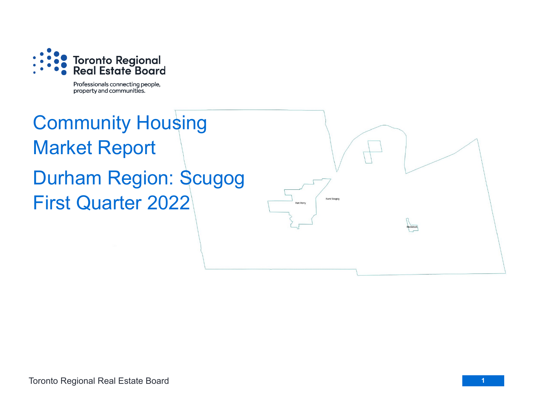

Professionals connecting people, property and communities.

## Community Housing Market Report Durham Region: Scugog First Quarter 2022

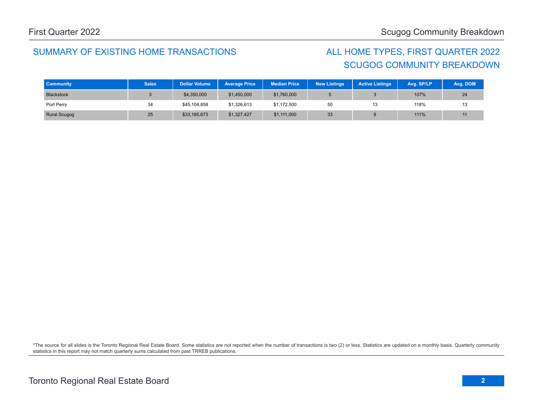## SUMMARY OF EXISTING HOME TRANSACTIONS ALL HOME TYPES, FIRST QUARTER 2022

## SCUGOG COMMUNITY BREAKDOWN

| <b>Community</b>    | <b>Sales</b> | <b>Dollar Volume</b> | <b>Average Price</b> | <b>Median Price</b> | <b>New Listings</b> | <b>Active Listings</b> | Avg. SP/LP | Avg. DOM |
|---------------------|--------------|----------------------|----------------------|---------------------|---------------------|------------------------|------------|----------|
| <b>Blackstock</b>   |              | \$4,350,000          | \$1,450,000          | \$1,760,000         |                     |                        | 107%       | 24       |
| Port Perry          | 34           | \$45,104,858         | \$1,326,613          | \$1,172,500         | 50                  | 13                     | 118%       | ∪י       |
| <b>Rural Scugog</b> | 25           | \$33,185,673         | \$1,327,427          | \$1,111,000         | 33                  |                        | 111%       |          |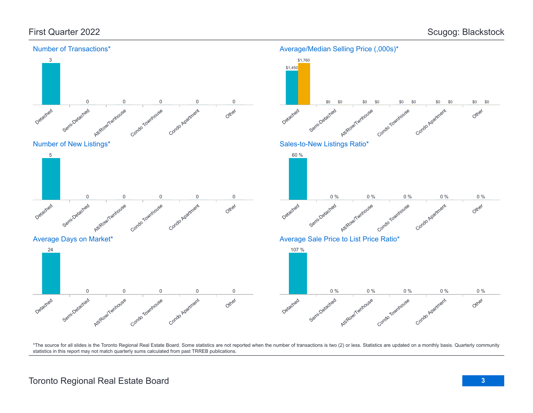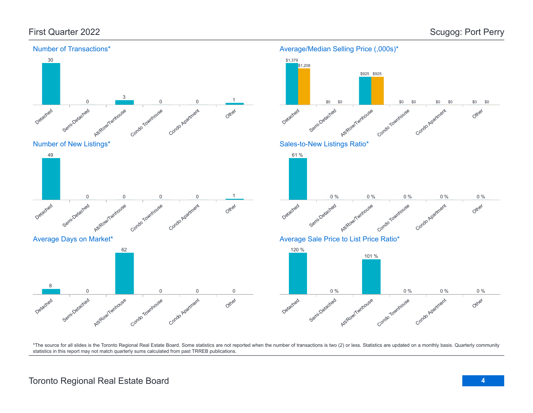